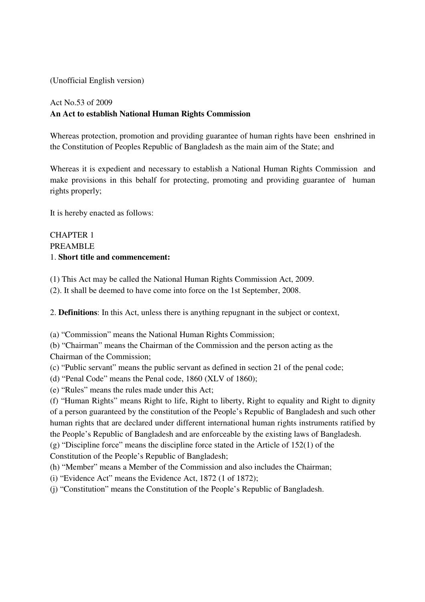(Unofficial English version)

# Act No.53 of 2009 **An Act to establish National Human Rights Commission**

Whereas protection, promotion and providing guarantee of human rights have been enshrined in the Constitution of Peoples Republic of Bangladesh as the main aim of the State; and

Whereas it is expedient and necessary to establish a National Human Rights Commission and make provisions in this behalf for protecting, promoting and providing guarantee of human rights properly;

It is hereby enacted as follows:

# CHAPTER 1 PREAMBLE 1. **Short title and commencement:**

(1) This Act may be called the National Human Rights Commission Act, 2009.

(2). It shall be deemed to have come into force on the 1st September, 2008.

2. **Definitions**: In this Act, unless there is anything repugnant in the subject or context,

(a) "Commission" means the National Human Rights Commission;

(b) "Chairman" means the Chairman of the Commission and the person acting as the Chairman of the Commission;

(c) "Public servant" means the public servant as defined in section 21 of the penal code;

(d) "Penal Code" means the Penal code, 1860 (XLV of 1860);

(e) "Rules" means the rules made under this Act;

(f) "Human Rights" means Right to life, Right to liberty, Right to equality and Right to dignity of a person guaranteed by the constitution of the People's Republic of Bangladesh and such other human rights that are declared under different international human rights instruments ratified by the People's Republic of Bangladesh and are enforceable by the existing laws of Bangladesh.

(g) "Discipline force" means the discipline force stated in the Article of 152(1) of the

Constitution of the People's Republic of Bangladesh;

(h) "Member" means a Member of the Commission and also includes the Chairman;

(i) "Evidence Act" means the Evidence Act, 1872 (1 of 1872);

(j) "Constitution" means the Constitution of the People's Republic of Bangladesh.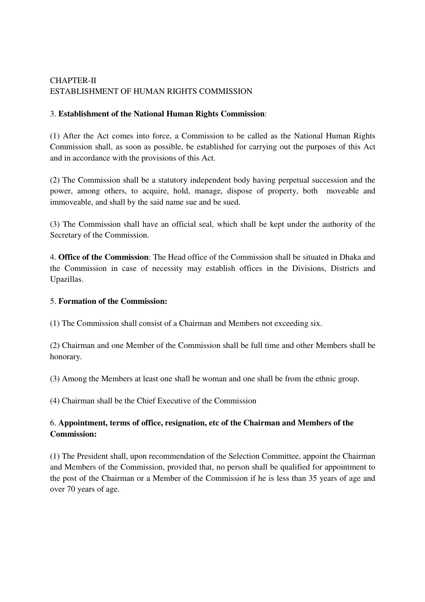# CHAPTER-II ESTABLISHMENT OF HUMAN RIGHTS COMMISSION

# 3. **Establishment of the National Human Rights Commission**:

(1) After the Act comes into force, a Commission to be called as the National Human Rights Commission shall, as soon as possible, be established for carrying out the purposes of this Act and in accordance with the provisions of this Act.

(2) The Commission shall be a statutory independent body having perpetual succession and the power, among others, to acquire, hold, manage, dispose of property, both moveable and immoveable, and shall by the said name sue and be sued.

(3) The Commission shall have an official seal, which shall be kept under the authority of the Secretary of the Commission.

4. **Office of the Commission**: The Head office of the Commission shall be situated in Dhaka and the Commission in case of necessity may establish offices in the Divisions, Districts and Upazillas.

#### 5. **Formation of the Commission:**

(1) The Commission shall consist of a Chairman and Members not exceeding six.

(2) Chairman and one Member of the Commission shall be full time and other Members shall be honorary.

(3) Among the Members at least one shall be woman and one shall be from the ethnic group.

(4) Chairman shall be the Chief Executive of the Commission

# 6. **Appointment, terms of office, resignation, etc of the Chairman and Members of the Commission:**

(1) The President shall, upon recommendation of the Selection Committee, appoint the Chairman and Members of the Commission, provided that, no person shall be qualified for appointment to the post of the Chairman or a Member of the Commission if he is less than 35 years of age and over 70 years of age.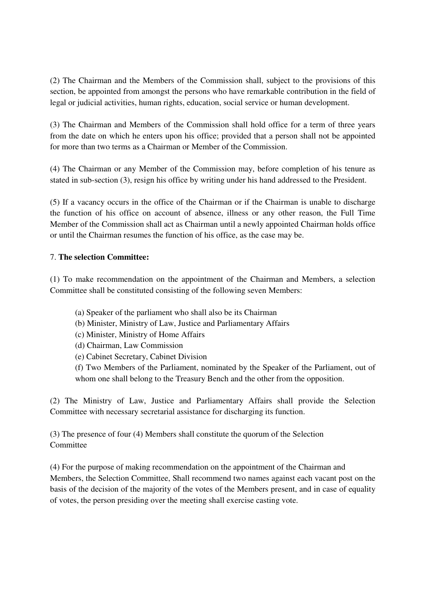(2) The Chairman and the Members of the Commission shall, subject to the provisions of this section, be appointed from amongst the persons who have remarkable contribution in the field of legal or judicial activities, human rights, education, social service or human development.

(3) The Chairman and Members of the Commission shall hold office for a term of three years from the date on which he enters upon his office; provided that a person shall not be appointed for more than two terms as a Chairman or Member of the Commission.

(4) The Chairman or any Member of the Commission may, before completion of his tenure as stated in sub-section (3), resign his office by writing under his hand addressed to the President.

(5) If a vacancy occurs in the office of the Chairman or if the Chairman is unable to discharge the function of his office on account of absence, illness or any other reason, the Full Time Member of the Commission shall act as Chairman until a newly appointed Chairman holds office or until the Chairman resumes the function of his office, as the case may be.

# 7. **The selection Committee:**

(1) To make recommendation on the appointment of the Chairman and Members, a selection Committee shall be constituted consisting of the following seven Members:

- (a) Speaker of the parliament who shall also be its Chairman
- (b) Minister, Ministry of Law, Justice and Parliamentary Affairs
- (c) Minister, Ministry of Home Affairs
- (d) Chairman, Law Commission
- (e) Cabinet Secretary, Cabinet Division

(f) Two Members of the Parliament, nominated by the Speaker of the Parliament, out of whom one shall belong to the Treasury Bench and the other from the opposition.

(2) The Ministry of Law, Justice and Parliamentary Affairs shall provide the Selection Committee with necessary secretarial assistance for discharging its function.

(3) The presence of four (4) Members shall constitute the quorum of the Selection **Committee** 

(4) For the purpose of making recommendation on the appointment of the Chairman and Members, the Selection Committee, Shall recommend two names against each vacant post on the basis of the decision of the majority of the votes of the Members present, and in case of equality of votes, the person presiding over the meeting shall exercise casting vote.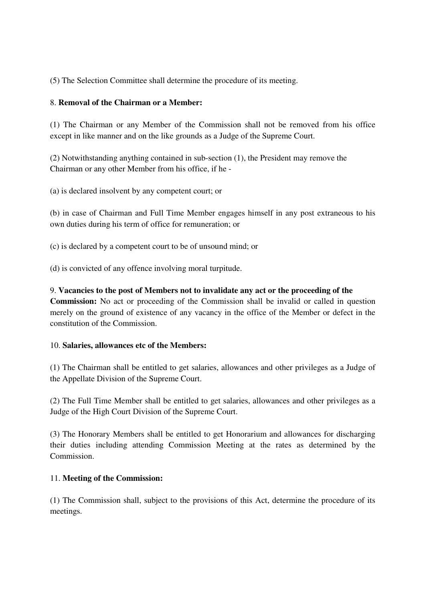(5) The Selection Committee shall determine the procedure of its meeting.

# 8. **Removal of the Chairman or a Member:**

(1) The Chairman or any Member of the Commission shall not be removed from his office except in like manner and on the like grounds as a Judge of the Supreme Court.

(2) Notwithstanding anything contained in sub-section (1), the President may remove the Chairman or any other Member from his office, if he -

(a) is declared insolvent by any competent court; or

(b) in case of Chairman and Full Time Member engages himself in any post extraneous to his own duties during his term of office for remuneration; or

(c) is declared by a competent court to be of unsound mind; or

(d) is convicted of any offence involving moral turpitude.

## 9. **Vacancies to the post of Members not to invalidate any act or the proceeding of the**

**Commission:** No act or proceeding of the Commission shall be invalid or called in question merely on the ground of existence of any vacancy in the office of the Member or defect in the constitution of the Commission.

#### 10. **Salaries, allowances etc of the Members:**

(1) The Chairman shall be entitled to get salaries, allowances and other privileges as a Judge of the Appellate Division of the Supreme Court.

(2) The Full Time Member shall be entitled to get salaries, allowances and other privileges as a Judge of the High Court Division of the Supreme Court.

(3) The Honorary Members shall be entitled to get Honorarium and allowances for discharging their duties including attending Commission Meeting at the rates as determined by the Commission.

# 11. **Meeting of the Commission:**

(1) The Commission shall, subject to the provisions of this Act, determine the procedure of its meetings.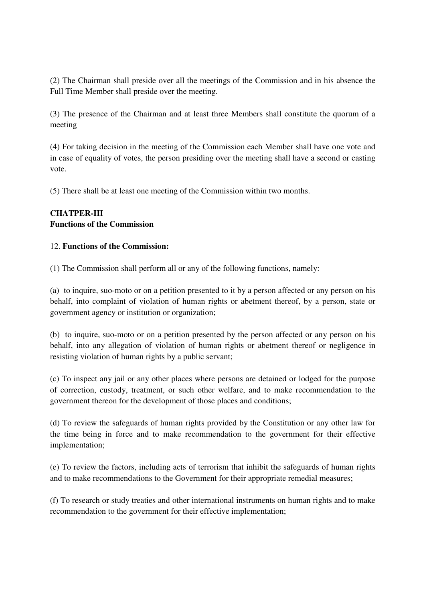(2) The Chairman shall preside over all the meetings of the Commission and in his absence the Full Time Member shall preside over the meeting.

(3) The presence of the Chairman and at least three Members shall constitute the quorum of a meeting

(4) For taking decision in the meeting of the Commission each Member shall have one vote and in case of equality of votes, the person presiding over the meeting shall have a second or casting vote.

(5) There shall be at least one meeting of the Commission within two months.

# **CHATPER-III Functions of the Commission**

## 12. **Functions of the Commission:**

(1) The Commission shall perform all or any of the following functions, namely:

(a) to inquire, suo-moto or on a petition presented to it by a person affected or any person on his behalf, into complaint of violation of human rights or abetment thereof, by a person, state or government agency or institution or organization;

(b) to inquire, suo-moto or on a petition presented by the person affected or any person on his behalf, into any allegation of violation of human rights or abetment thereof or negligence in resisting violation of human rights by a public servant;

(c) To inspect any jail or any other places where persons are detained or lodged for the purpose of correction, custody, treatment, or such other welfare, and to make recommendation to the government thereon for the development of those places and conditions;

(d) To review the safeguards of human rights provided by the Constitution or any other law for the time being in force and to make recommendation to the government for their effective implementation;

(e) To review the factors, including acts of terrorism that inhibit the safeguards of human rights and to make recommendations to the Government for their appropriate remedial measures;

(f) To research or study treaties and other international instruments on human rights and to make recommendation to the government for their effective implementation;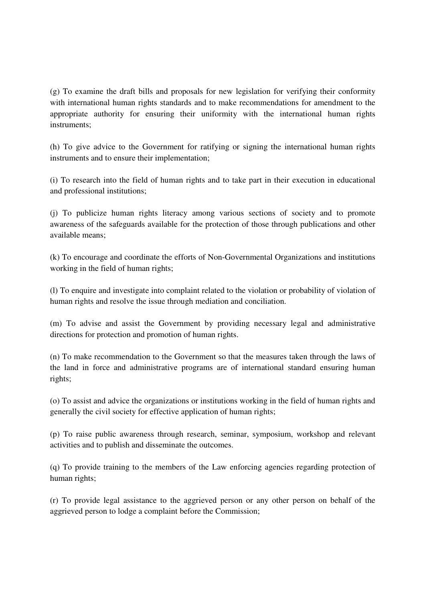(g) To examine the draft bills and proposals for new legislation for verifying their conformity with international human rights standards and to make recommendations for amendment to the appropriate authority for ensuring their uniformity with the international human rights instruments;

(h) To give advice to the Government for ratifying or signing the international human rights instruments and to ensure their implementation;

(i) To research into the field of human rights and to take part in their execution in educational and professional institutions;

(j) To publicize human rights literacy among various sections of society and to promote awareness of the safeguards available for the protection of those through publications and other available means;

(k) To encourage and coordinate the efforts of Non-Governmental Organizations and institutions working in the field of human rights;

(l) To enquire and investigate into complaint related to the violation or probability of violation of human rights and resolve the issue through mediation and conciliation.

(m) To advise and assist the Government by providing necessary legal and administrative directions for protection and promotion of human rights.

(n) To make recommendation to the Government so that the measures taken through the laws of the land in force and administrative programs are of international standard ensuring human rights;

(o) To assist and advice the organizations or institutions working in the field of human rights and generally the civil society for effective application of human rights;

(p) To raise public awareness through research, seminar, symposium, workshop and relevant activities and to publish and disseminate the outcomes.

(q) To provide training to the members of the Law enforcing agencies regarding protection of human rights;

(r) To provide legal assistance to the aggrieved person or any other person on behalf of the aggrieved person to lodge a complaint before the Commission;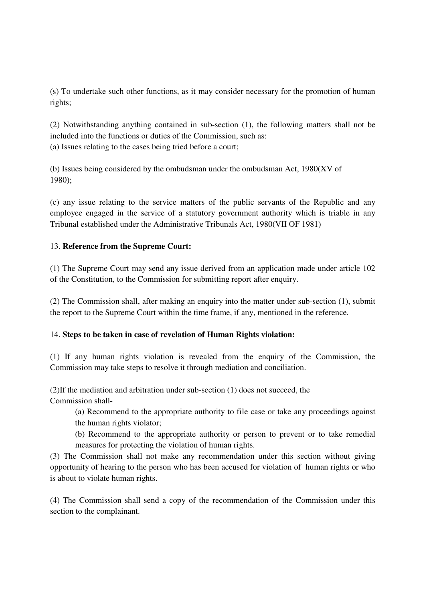(s) To undertake such other functions, as it may consider necessary for the promotion of human rights;

(2) Notwithstanding anything contained in sub-section (1), the following matters shall not be included into the functions or duties of the Commission, such as: (a) Issues relating to the cases being tried before a court;

(b) Issues being considered by the ombudsman under the ombudsman Act, 1980(XV of 1980);

(c) any issue relating to the service matters of the public servants of the Republic and any employee engaged in the service of a statutory government authority which is triable in any Tribunal established under the Administrative Tribunals Act, 1980(VII OF 1981)

# 13. **Reference from the Supreme Court:**

(1) The Supreme Court may send any issue derived from an application made under article 102 of the Constitution, to the Commission for submitting report after enquiry.

(2) The Commission shall, after making an enquiry into the matter under sub-section (1), submit the report to the Supreme Court within the time frame, if any, mentioned in the reference.

#### 14. **Steps to be taken in case of revelation of Human Rights violation:**

(1) If any human rights violation is revealed from the enquiry of the Commission, the Commission may take steps to resolve it through mediation and conciliation.

(2)If the mediation and arbitration under sub-section (1) does not succeed, the Commission shall-

(a) Recommend to the appropriate authority to file case or take any proceedings against the human rights violator;

(b) Recommend to the appropriate authority or person to prevent or to take remedial measures for protecting the violation of human rights.

(3) The Commission shall not make any recommendation under this section without giving opportunity of hearing to the person who has been accused for violation of human rights or who is about to violate human rights.

(4) The Commission shall send a copy of the recommendation of the Commission under this section to the complainant.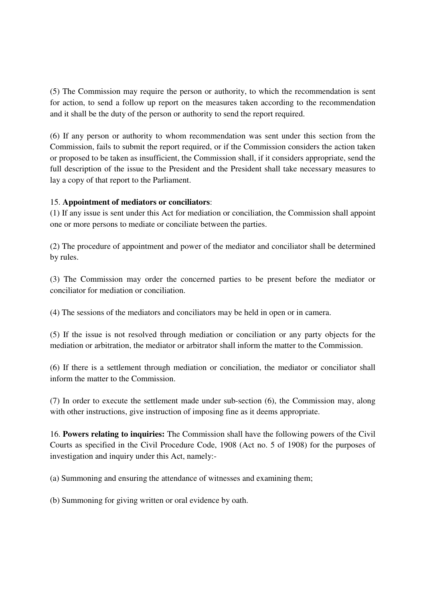(5) The Commission may require the person or authority, to which the recommendation is sent for action, to send a follow up report on the measures taken according to the recommendation and it shall be the duty of the person or authority to send the report required.

(6) If any person or authority to whom recommendation was sent under this section from the Commission, fails to submit the report required, or if the Commission considers the action taken or proposed to be taken as insufficient, the Commission shall, if it considers appropriate, send the full description of the issue to the President and the President shall take necessary measures to lay a copy of that report to the Parliament.

## 15. **Appointment of mediators or conciliators**:

(1) If any issue is sent under this Act for mediation or conciliation, the Commission shall appoint one or more persons to mediate or conciliate between the parties.

(2) The procedure of appointment and power of the mediator and conciliator shall be determined by rules.

(3) The Commission may order the concerned parties to be present before the mediator or conciliator for mediation or conciliation.

(4) The sessions of the mediators and conciliators may be held in open or in camera.

(5) If the issue is not resolved through mediation or conciliation or any party objects for the mediation or arbitration, the mediator or arbitrator shall inform the matter to the Commission.

(6) If there is a settlement through mediation or conciliation, the mediator or conciliator shall inform the matter to the Commission.

(7) In order to execute the settlement made under sub-section (6), the Commission may, along with other instructions, give instruction of imposing fine as it deems appropriate.

16. **Powers relating to inquiries:** The Commission shall have the following powers of the Civil Courts as specified in the Civil Procedure Code, 1908 (Act no. 5 of 1908) for the purposes of investigation and inquiry under this Act, namely:-

(a) Summoning and ensuring the attendance of witnesses and examining them;

(b) Summoning for giving written or oral evidence by oath.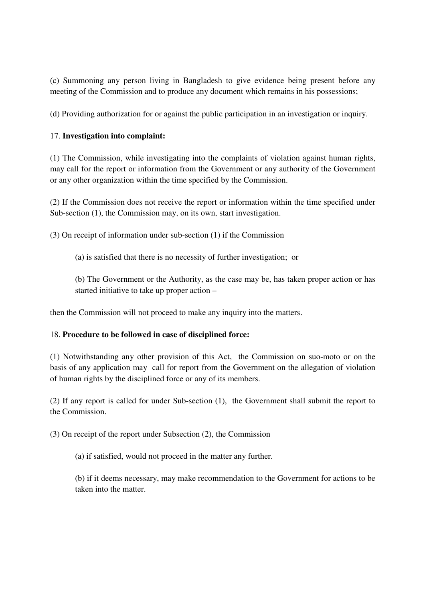(c) Summoning any person living in Bangladesh to give evidence being present before any meeting of the Commission and to produce any document which remains in his possessions;

(d) Providing authorization for or against the public participation in an investigation or inquiry.

## 17. **Investigation into complaint:**

(1) The Commission, while investigating into the complaints of violation against human rights, may call for the report or information from the Government or any authority of the Government or any other organization within the time specified by the Commission.

(2) If the Commission does not receive the report or information within the time specified under Sub-section (1), the Commission may, on its own, start investigation.

(3) On receipt of information under sub-section (1) if the Commission

(a) is satisfied that there is no necessity of further investigation; or

(b) The Government or the Authority, as the case may be, has taken proper action or has started initiative to take up proper action –

then the Commission will not proceed to make any inquiry into the matters.

#### 18. **Procedure to be followed in case of disciplined force:**

(1) Notwithstanding any other provision of this Act, the Commission on suo-moto or on the basis of any application may call for report from the Government on the allegation of violation of human rights by the disciplined force or any of its members.

(2) If any report is called for under Sub-section (1), the Government shall submit the report to the Commission.

(3) On receipt of the report under Subsection (2), the Commission

(a) if satisfied, would not proceed in the matter any further.

(b) if it deems necessary, may make recommendation to the Government for actions to be taken into the matter.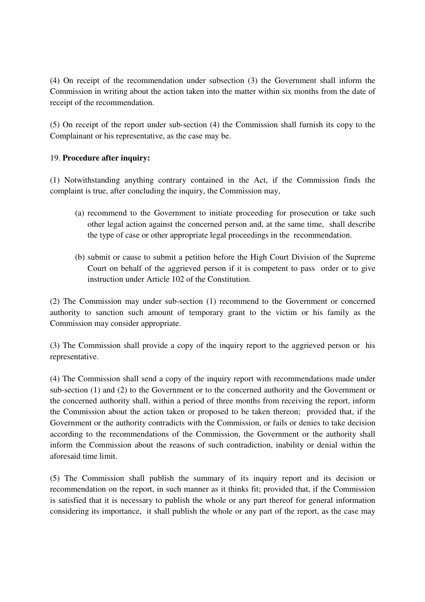(4) On receipt of the recommendation under subsection (3) the Government shall inform the Commission in writing about the action taken into the matter within six months from the date of receipt of the recommendation.

(5) On receipt of the report under sub-section (4) the Commission shall furnish its copy to the Complainant or his representative, as the case may be.

## 19. **Procedure after inquiry:**

(1) Notwithstanding anything contrary contained in the Act, if the Commission finds the complaint is true, after concluding the inquiry, the Commission may,

- (a) recommend to the Government to initiate proceeding for prosecution or take such other legal action against the concerned person and, at the same time, shall describe the type of case or other appropriate legal proceedings in the recommendation.
- (b) submit or cause to submit a petition before the High Court Division of the Supreme Court on behalf of the aggrieved person if it is competent to pass order or to give instruction under Article 102 of the Constitution.

(2) The Commission may under sub-section (1) recommend to the Government or concerned authority to sanction such amount of temporary grant to the victim or his family as the Commission may consider appropriate.

(3) The Commission shall provide a copy of the inquiry report to the aggrieved person or his representative.

(4) The Commission shall send a copy of the inquiry report with recommendations made under sub-section (1) and (2) to the Government or to the concerned authority and the Government or the concerned authority shall, within a period of three months from receiving the report, inform the Commission about the action taken or proposed to be taken thereon; provided that, if the Government or the authority contradicts with the Commission, or fails or denies to take decision according to the recommendations of the Commission, the Government or the authority shall inform the Commission about the reasons of such contradiction, inability or denial within the aforesaid time limit.

(5) The Commission shall publish the summary of its inquiry report and its decision or recommendation on the report, in such manner as it thinks fit; provided that, if the Commission is satisfied that it is necessary to publish the whole or any part thereof for general information considering its importance, it shall publish the whole or any part of the report, as the case may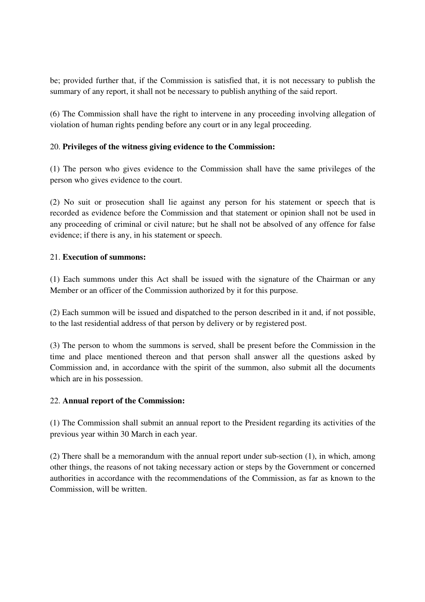be; provided further that, if the Commission is satisfied that, it is not necessary to publish the summary of any report, it shall not be necessary to publish anything of the said report.

(6) The Commission shall have the right to intervene in any proceeding involving allegation of violation of human rights pending before any court or in any legal proceeding.

# 20. **Privileges of the witness giving evidence to the Commission:**

(1) The person who gives evidence to the Commission shall have the same privileges of the person who gives evidence to the court.

(2) No suit or prosecution shall lie against any person for his statement or speech that is recorded as evidence before the Commission and that statement or opinion shall not be used in any proceeding of criminal or civil nature; but he shall not be absolved of any offence for false evidence; if there is any, in his statement or speech.

## 21. **Execution of summons:**

(1) Each summons under this Act shall be issued with the signature of the Chairman or any Member or an officer of the Commission authorized by it for this purpose.

(2) Each summon will be issued and dispatched to the person described in it and, if not possible, to the last residential address of that person by delivery or by registered post.

(3) The person to whom the summons is served, shall be present before the Commission in the time and place mentioned thereon and that person shall answer all the questions asked by Commission and, in accordance with the spirit of the summon, also submit all the documents which are in his possession.

#### 22. **Annual report of the Commission:**

(1) The Commission shall submit an annual report to the President regarding its activities of the previous year within 30 March in each year.

(2) There shall be a memorandum with the annual report under sub-section (1), in which, among other things, the reasons of not taking necessary action or steps by the Government or concerned authorities in accordance with the recommendations of the Commission, as far as known to the Commission, will be written.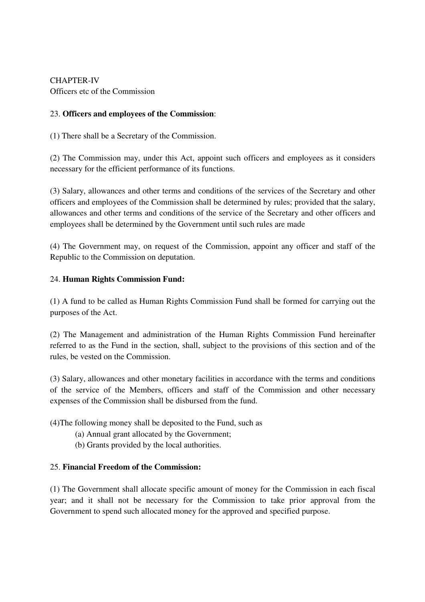CHAPTER-IV Officers etc of the Commission

# 23. **Officers and employees of the Commission**:

(1) There shall be a Secretary of the Commission.

(2) The Commission may, under this Act, appoint such officers and employees as it considers necessary for the efficient performance of its functions.

(3) Salary, allowances and other terms and conditions of the services of the Secretary and other officers and employees of the Commission shall be determined by rules; provided that the salary, allowances and other terms and conditions of the service of the Secretary and other officers and employees shall be determined by the Government until such rules are made

(4) The Government may, on request of the Commission, appoint any officer and staff of the Republic to the Commission on deputation.

# 24. **Human Rights Commission Fund:**

(1) A fund to be called as Human Rights Commission Fund shall be formed for carrying out the purposes of the Act.

(2) The Management and administration of the Human Rights Commission Fund hereinafter referred to as the Fund in the section, shall, subject to the provisions of this section and of the rules, be vested on the Commission.

(3) Salary, allowances and other monetary facilities in accordance with the terms and conditions of the service of the Members, officers and staff of the Commission and other necessary expenses of the Commission shall be disbursed from the fund.

(4)The following money shall be deposited to the Fund, such as

- (a) Annual grant allocated by the Government;
- (b) Grants provided by the local authorities.

# 25. **Financial Freedom of the Commission:**

(1) The Government shall allocate specific amount of money for the Commission in each fiscal year; and it shall not be necessary for the Commission to take prior approval from the Government to spend such allocated money for the approved and specified purpose.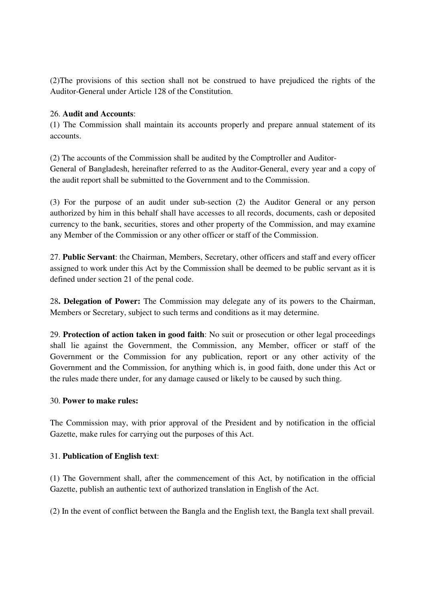(2)The provisions of this section shall not be construed to have prejudiced the rights of the Auditor-General under Article 128 of the Constitution.

## 26. **Audit and Accounts**:

(1) The Commission shall maintain its accounts properly and prepare annual statement of its accounts.

(2) The accounts of the Commission shall be audited by the Comptroller and Auditor-General of Bangladesh, hereinafter referred to as the Auditor-General, every year and a copy of the audit report shall be submitted to the Government and to the Commission.

(3) For the purpose of an audit under sub-section (2) the Auditor General or any person authorized by him in this behalf shall have accesses to all records, documents, cash or deposited currency to the bank, securities, stores and other property of the Commission, and may examine any Member of the Commission or any other officer or staff of the Commission.

27. **Public Servant**: the Chairman, Members, Secretary, other officers and staff and every officer assigned to work under this Act by the Commission shall be deemed to be public servant as it is defined under section 21 of the penal code.

28**. Delegation of Power:** The Commission may delegate any of its powers to the Chairman, Members or Secretary, subject to such terms and conditions as it may determine.

29. **Protection of action taken in good faith**: No suit or prosecution or other legal proceedings shall lie against the Government, the Commission, any Member, officer or staff of the Government or the Commission for any publication, report or any other activity of the Government and the Commission, for anything which is, in good faith, done under this Act or the rules made there under, for any damage caused or likely to be caused by such thing.

#### 30. **Power to make rules:**

The Commission may, with prior approval of the President and by notification in the official Gazette, make rules for carrying out the purposes of this Act.

# 31. **Publication of English text**:

(1) The Government shall, after the commencement of this Act, by notification in the official Gazette, publish an authentic text of authorized translation in English of the Act.

(2) In the event of conflict between the Bangla and the English text, the Bangla text shall prevail.